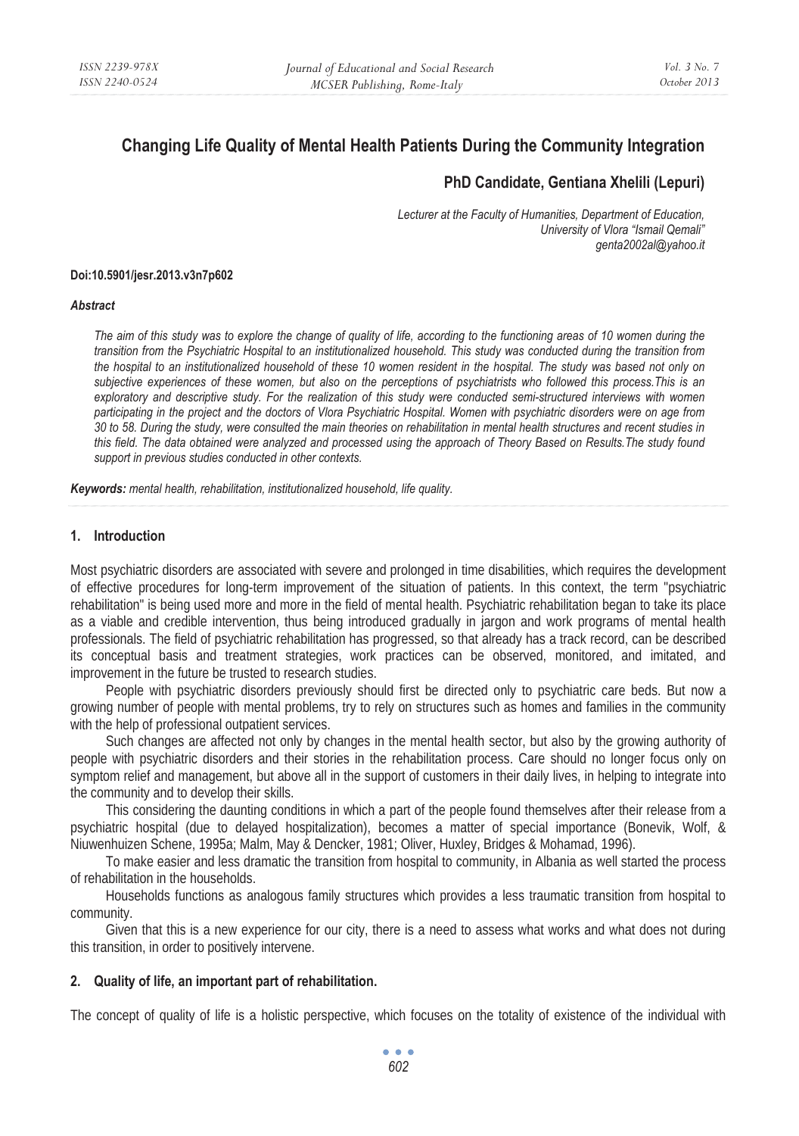# **Changing Life Quality of Mental Health Patients During the Community Integration**

## **PhD Candidate, Gentiana Xhelili (Lepuri)**

*Lecturer at the Faculty of Humanities, Department of Education, University of Vlora "Ismail Qemali" genta2002al@yahoo.it* 

#### **Doi:10.5901/jesr.2013.v3n7p602**

#### *Abstract*

*The aim of this study was to explore the change of quality of life, according to the functioning areas of 10 women during the transition from the Psychiatric Hospital to an institutionalized household. This study was conducted during the transition from the hospital to an institutionalized household of these 10 women resident in the hospital. The study was based not only on subjective experiences of these women, but also on the perceptions of psychiatrists who followed this process.This is an*  exploratory and descriptive study. For the realization of this study were conducted semi-structured interviews with women *participating in the project and the doctors of Vlora Psychiatric Hospital. Women with psychiatric disorders were on age from 30 to 58. During the study, were consulted the main theories on rehabilitation in mental health structures and recent studies in this field. The data obtained were analyzed and processed using the approach of Theory Based on Results.The study found support in previous studies conducted in other contexts.* 

*Keywords: mental health, rehabilitation, institutionalized household, life quality.* 

#### **1. Introduction**

Most psychiatric disorders are associated with severe and prolonged in time disabilities, which requires the development of effective procedures for long-term improvement of the situation of patients. In this context, the term "psychiatric rehabilitation" is being used more and more in the field of mental health. Psychiatric rehabilitation began to take its place as a viable and credible intervention, thus being introduced gradually in jargon and work programs of mental health professionals. The field of psychiatric rehabilitation has progressed, so that already has a track record, can be described its conceptual basis and treatment strategies, work practices can be observed, monitored, and imitated, and improvement in the future be trusted to research studies.

People with psychiatric disorders previously should first be directed only to psychiatric care beds. But now a growing number of people with mental problems, try to rely on structures such as homes and families in the community with the help of professional outpatient services.

Such changes are affected not only by changes in the mental health sector, but also by the growing authority of people with psychiatric disorders and their stories in the rehabilitation process. Care should no longer focus only on symptom relief and management, but above all in the support of customers in their daily lives, in helping to integrate into the community and to develop their skills.

This considering the daunting conditions in which a part of the people found themselves after their release from a psychiatric hospital (due to delayed hospitalization), becomes a matter of special importance (Bonevik, Wolf, & Niuwenhuizen Schene, 1995a; Malm, May & Dencker, 1981; Oliver, Huxley, Bridges & Mohamad, 1996).

To make easier and less dramatic the transition from hospital to community, in Albania as well started the process of rehabilitation in the households.

Households functions as analogous family structures which provides a less traumatic transition from hospital to community.

Given that this is a new experience for our city, there is a need to assess what works and what does not during this transition, in order to positively intervene.

#### **2. Quality of life, an important part of rehabilitation.**

The concept of quality of life is a holistic perspective, which focuses on the totality of existence of the individual with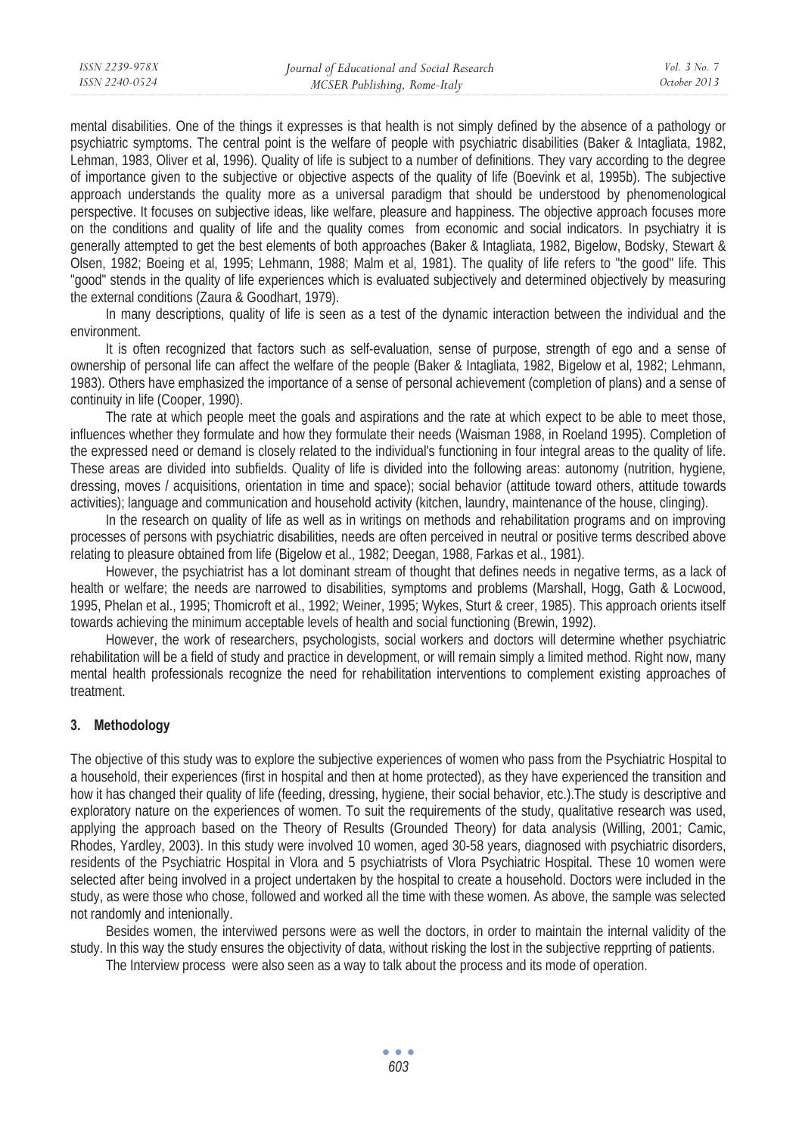mental disabilities. One of the things it expresses is that health is not simply defined by the absence of a pathology or psychiatric symptoms. The central point is the welfare of people with psychiatric disabilities (Baker & Intagliata, 1982, Lehman, 1983, Oliver et al, 1996). Quality of life is subject to a number of definitions. They vary according to the degree of importance given to the subjective or objective aspects of the quality of life (Boevink et al, 1995b). The subjective approach understands the quality more as a universal paradigm that should be understood by phenomenological perspective. It focuses on subjective ideas, like welfare, pleasure and happiness. The objective approach focuses more on the conditions and quality of life and the quality comes from economic and social indicators. In psychiatry it is generally attempted to get the best elements of both approaches (Baker & Intagliata, 1982, Bigelow, Bodsky, Stewart & Olsen, 1982; Boeing et al, 1995; Lehmann, 1988; Malm et al, 1981). The quality of life refers to "the good" life. This "good" stends in the quality of life experiences which is evaluated subjectively and determined objectively by measuring the external conditions (Zaura & Goodhart, 1979).

In many descriptions, quality of life is seen as a test of the dynamic interaction between the individual and the environment.

It is often recognized that factors such as self-evaluation, sense of purpose, strength of ego and a sense of ownership of personal life can affect the welfare of the people (Baker & Intagliata, 1982, Bigelow et al, 1982; Lehmann, 1983). Others have emphasized the importance of a sense of personal achievement (completion of plans) and a sense of continuity in life (Cooper, 1990).

The rate at which people meet the goals and aspirations and the rate at which expect to be able to meet those, influences whether they formulate and how they formulate their needs (Waisman 1988, in Roeland 1995). Completion of the expressed need or demand is closely related to the individual's functioning in four integral areas to the quality of life. These areas are divided into subfields. Quality of life is divided into the following areas: autonomy (nutrition, hygiene, dressing, moves / acquisitions, orientation in time and space); social behavior (attitude toward others, attitude towards activities); language and communication and household activity (kitchen, laundry, maintenance of the house, clinging).

In the research on quality of life as well as in writings on methods and rehabilitation programs and on improving processes of persons with psychiatric disabilities, needs are often perceived in neutral or positive terms described above relating to pleasure obtained from life (Bigelow et al., 1982; Deegan, 1988, Farkas et al., 1981).

However, the psychiatrist has a lot dominant stream of thought that defines needs in negative terms, as a lack of health or welfare; the needs are narrowed to disabilities, symptoms and problems (Marshall, Hogg, Gath & Locwood, 1995, Phelan et al., 1995; Thomicroft et al., 1992; Weiner, 1995; Wykes, Sturt & creer, 1985). This approach orients itself towards achieving the minimum acceptable levels of health and social functioning (Brewin, 1992).

However, the work of researchers, psychologists, social workers and doctors will determine whether psychiatric rehabilitation will be a field of study and practice in development, or will remain simply a limited method. Right now, many mental health professionals recognize the need for rehabilitation interventions to complement existing approaches of treatment.

## **3. Methodology**

The objective of this study was to explore the subjective experiences of women who pass from the Psychiatric Hospital to a household, their experiences (first in hospital and then at home protected), as they have experienced the transition and how it has changed their quality of life (feeding, dressing, hygiene, their social behavior, etc.).The study is descriptive and exploratory nature on the experiences of women. To suit the requirements of the study, qualitative research was used, applying the approach based on the Theory of Results (Grounded Theory) for data analysis (Willing, 2001; Camic, Rhodes, Yardley, 2003). In this study were involved 10 women, aged 30-58 years, diagnosed with psychiatric disorders, residents of the Psychiatric Hospital in Vlora and 5 psychiatrists of Vlora Psychiatric Hospital. These 10 women were selected after being involved in a project undertaken by the hospital to create a household. Doctors were included in the study, as were those who chose, followed and worked all the time with these women. As above, the sample was selected not randomly and intenionally.

Besides women, the interviwed persons were as well the doctors, in order to maintain the internal validity of the study. In this way the study ensures the objectivity of data, without risking the lost in the subjective repprting of patients.

The Interview process were also seen as a way to talk about the process and its mode of operation.

 $\bullet$   $\bullet$   $\bullet$ *603*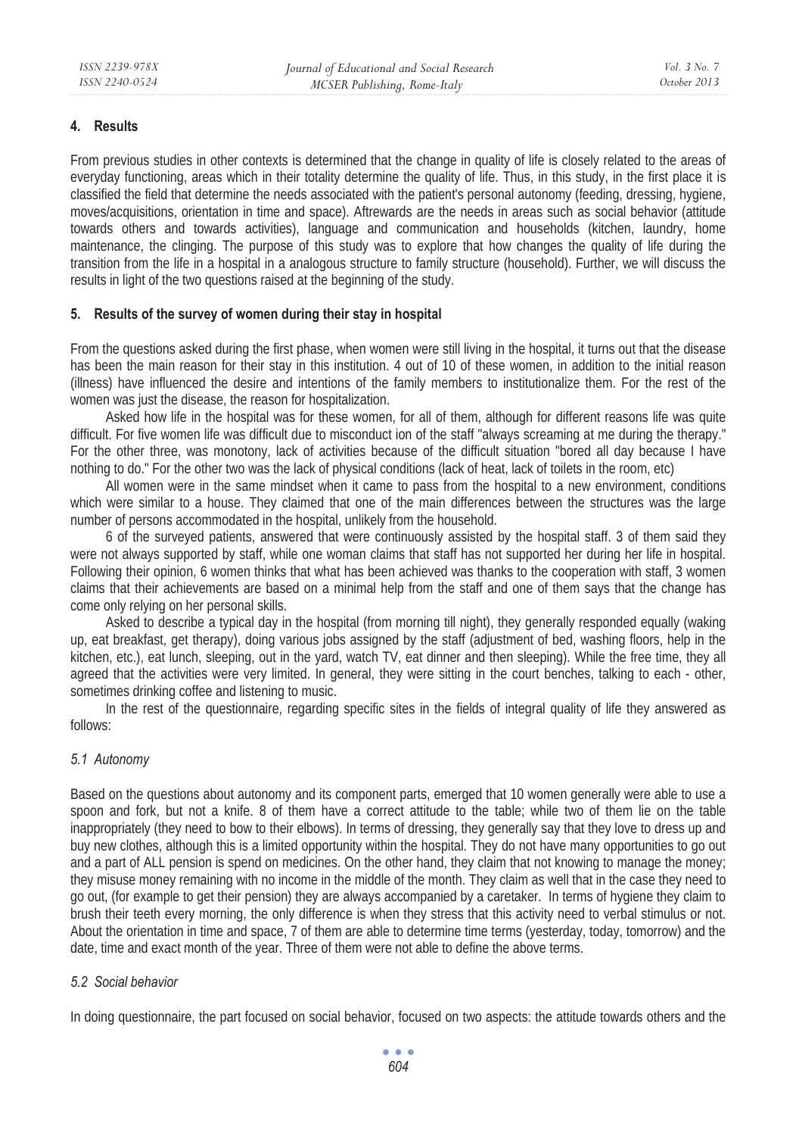#### **4. Results**

From previous studies in other contexts is determined that the change in quality of life is closely related to the areas of everyday functioning, areas which in their totality determine the quality of life. Thus, in this study, in the first place it is classified the field that determine the needs associated with the patient's personal autonomy (feeding, dressing, hygiene, moves/acquisitions, orientation in time and space). Aftrewards are the needs in areas such as social behavior (attitude towards others and towards activities), language and communication and households (kitchen, laundry, home maintenance, the clinging. The purpose of this study was to explore that how changes the quality of life during the transition from the life in a hospital in a analogous structure to family structure (household). Further, we will discuss the results in light of the two questions raised at the beginning of the study.

#### **5. Results of the survey of women during their stay in hospital**

From the questions asked during the first phase, when women were still living in the hospital, it turns out that the disease has been the main reason for their stay in this institution. 4 out of 10 of these women, in addition to the initial reason (illness) have influenced the desire and intentions of the family members to institutionalize them. For the rest of the women was just the disease, the reason for hospitalization.

Asked how life in the hospital was for these women, for all of them, although for different reasons life was quite difficult. For five women life was difficult due to misconduct ion of the staff "always screaming at me during the therapy." For the other three, was monotony, lack of activities because of the difficult situation "bored all day because I have nothing to do." For the other two was the lack of physical conditions (lack of heat, lack of toilets in the room, etc)

All women were in the same mindset when it came to pass from the hospital to a new environment, conditions which were similar to a house. They claimed that one of the main differences between the structures was the large number of persons accommodated in the hospital, unlikely from the household.

6 of the surveyed patients, answered that were continuously assisted by the hospital staff. 3 of them said they were not always supported by staff, while one woman claims that staff has not supported her during her life in hospital. Following their opinion, 6 women thinks that what has been achieved was thanks to the cooperation with staff, 3 women claims that their achievements are based on a minimal help from the staff and one of them says that the change has come only relying on her personal skills.

Asked to describe a typical day in the hospital (from morning till night), they generally responded equally (waking up, eat breakfast, get therapy), doing various jobs assigned by the staff (adjustment of bed, washing floors, help in the kitchen, etc.), eat lunch, sleeping, out in the yard, watch TV, eat dinner and then sleeping). While the free time, they all agreed that the activities were very limited. In general, they were sitting in the court benches, talking to each - other, sometimes drinking coffee and listening to music.

In the rest of the questionnaire, regarding specific sites in the fields of integral quality of life they answered as follows:

## *5.1 Autonomy*

Based on the questions about autonomy and its component parts, emerged that 10 women generally were able to use a spoon and fork, but not a knife. 8 of them have a correct attitude to the table; while two of them lie on the table inappropriately (they need to bow to their elbows). In terms of dressing, they generally say that they love to dress up and buy new clothes, although this is a limited opportunity within the hospital. They do not have many opportunities to go out and a part of ALL pension is spend on medicines. On the other hand, they claim that not knowing to manage the money; they misuse money remaining with no income in the middle of the month. They claim as well that in the case they need to go out, (for example to get their pension) they are always accompanied by a caretaker. In terms of hygiene they claim to brush their teeth every morning, the only difference is when they stress that this activity need to verbal stimulus or not. About the orientation in time and space, 7 of them are able to determine time terms (yesterday, today, tomorrow) and the date, time and exact month of the year. Three of them were not able to define the above terms.

#### *5.2 Social behavior*

In doing questionnaire, the part focused on social behavior, focused on two aspects: the attitude towards others and the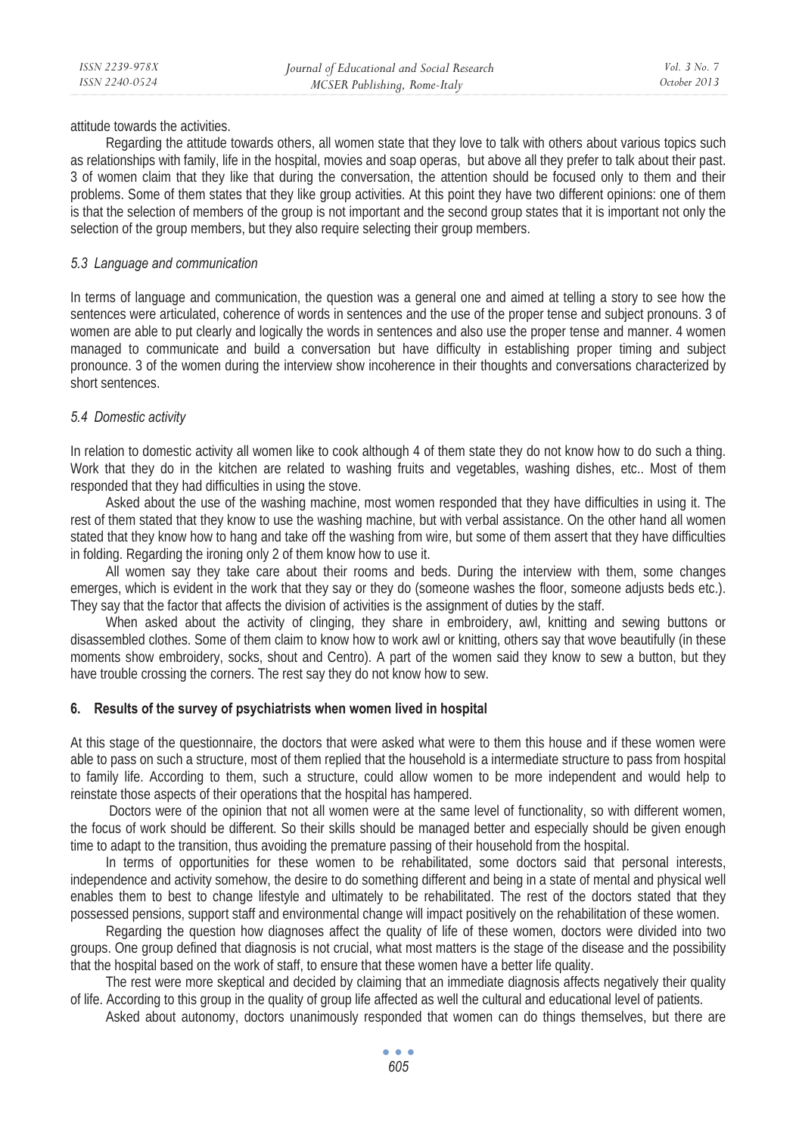attitude towards the activities.

Regarding the attitude towards others, all women state that they love to talk with others about various topics such as relationships with family, life in the hospital, movies and soap operas, but above all they prefer to talk about their past. 3 of women claim that they like that during the conversation, the attention should be focused only to them and their problems. Some of them states that they like group activities. At this point they have two different opinions: one of them is that the selection of members of the group is not important and the second group states that it is important not only the selection of the group members, but they also require selecting their group members.

#### *5.3 Language and communication*

In terms of language and communication, the question was a general one and aimed at telling a story to see how the sentences were articulated, coherence of words in sentences and the use of the proper tense and subject pronouns. 3 of women are able to put clearly and logically the words in sentences and also use the proper tense and manner. 4 women managed to communicate and build a conversation but have difficulty in establishing proper timing and subject pronounce. 3 of the women during the interview show incoherence in their thoughts and conversations characterized by short sentences.

#### *5.4 Domestic activity*

In relation to domestic activity all women like to cook although 4 of them state they do not know how to do such a thing. Work that they do in the kitchen are related to washing fruits and vegetables, washing dishes, etc.. Most of them responded that they had difficulties in using the stove.

Asked about the use of the washing machine, most women responded that they have difficulties in using it. The rest of them stated that they know to use the washing machine, but with verbal assistance. On the other hand all women stated that they know how to hang and take off the washing from wire, but some of them assert that they have difficulties in folding. Regarding the ironing only 2 of them know how to use it.

All women say they take care about their rooms and beds. During the interview with them, some changes emerges, which is evident in the work that they say or they do (someone washes the floor, someone adjusts beds etc.). They say that the factor that affects the division of activities is the assignment of duties by the staff.

When asked about the activity of clinging, they share in embroidery, awl, knitting and sewing buttons or disassembled clothes. Some of them claim to know how to work awl or knitting, others say that wove beautifully (in these moments show embroidery, socks, shout and Centro). A part of the women said they know to sew a button, but they have trouble crossing the corners. The rest say they do not know how to sew.

#### **6. Results of the survey of psychiatrists when women lived in hospital**

At this stage of the questionnaire, the doctors that were asked what were to them this house and if these women were able to pass on such a structure, most of them replied that the household is a intermediate structure to pass from hospital to family life. According to them, such a structure, could allow women to be more independent and would help to reinstate those aspects of their operations that the hospital has hampered.

 Doctors were of the opinion that not all women were at the same level of functionality, so with different women, the focus of work should be different. So their skills should be managed better and especially should be given enough time to adapt to the transition, thus avoiding the premature passing of their household from the hospital.

In terms of opportunities for these women to be rehabilitated, some doctors said that personal interests, independence and activity somehow, the desire to do something different and being in a state of mental and physical well enables them to best to change lifestyle and ultimately to be rehabilitated. The rest of the doctors stated that they possessed pensions, support staff and environmental change will impact positively on the rehabilitation of these women.

Regarding the question how diagnoses affect the quality of life of these women, doctors were divided into two groups. One group defined that diagnosis is not crucial, what most matters is the stage of the disease and the possibility that the hospital based on the work of staff, to ensure that these women have a better life quality.

The rest were more skeptical and decided by claiming that an immediate diagnosis affects negatively their quality of life. According to this group in the quality of group life affected as well the cultural and educational level of patients.

Asked about autonomy, doctors unanimously responded that women can do things themselves, but there are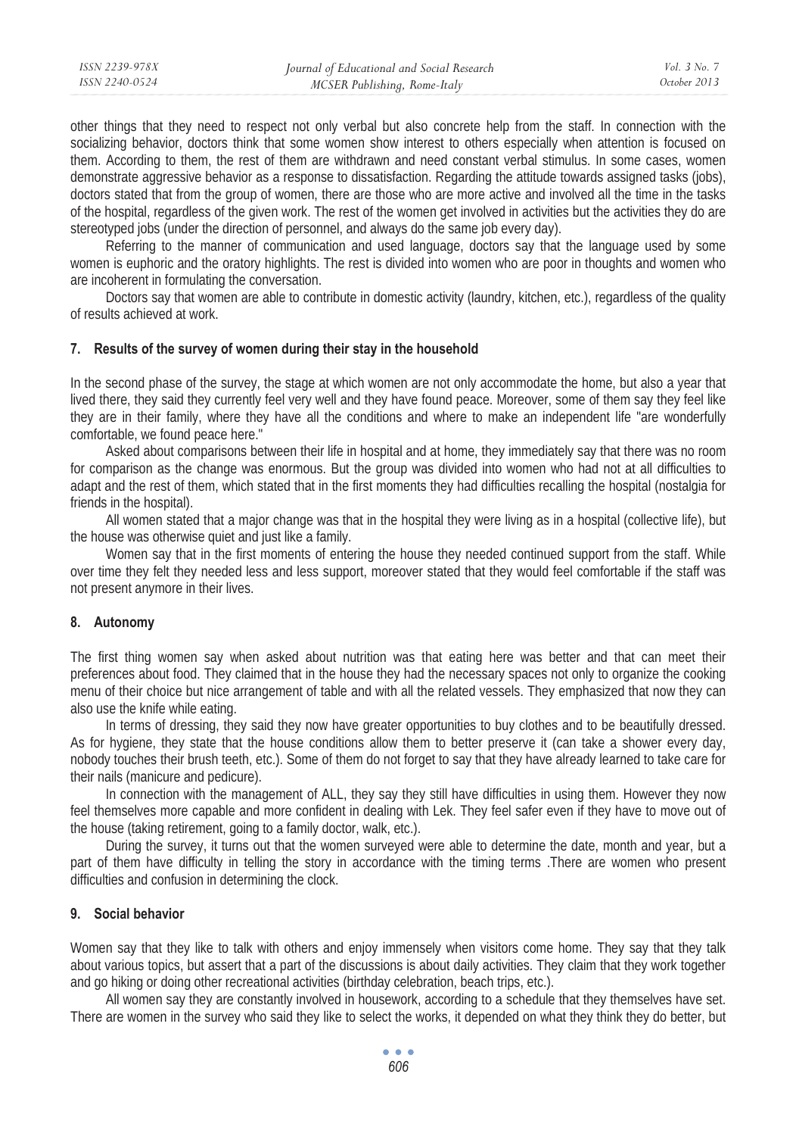| ISSN 2239-978X | Journal of Educational and Social Research | Vol. 3 No. 7 |
|----------------|--------------------------------------------|--------------|
| ISSN 2240-0524 | MCSER Publishing, Rome-Italy               | October 2013 |

other things that they need to respect not only verbal but also concrete help from the staff. In connection with the socializing behavior, doctors think that some women show interest to others especially when attention is focused on them. According to them, the rest of them are withdrawn and need constant verbal stimulus. In some cases, women demonstrate aggressive behavior as a response to dissatisfaction. Regarding the attitude towards assigned tasks (jobs), doctors stated that from the group of women, there are those who are more active and involved all the time in the tasks of the hospital, regardless of the given work. The rest of the women get involved in activities but the activities they do are stereotyped jobs (under the direction of personnel, and always do the same job every day).

Referring to the manner of communication and used language, doctors say that the language used by some women is euphoric and the oratory highlights. The rest is divided into women who are poor in thoughts and women who are incoherent in formulating the conversation.

Doctors say that women are able to contribute in domestic activity (laundry, kitchen, etc.), regardless of the quality of results achieved at work.

#### **7. Results of the survey of women during their stay in the household**

In the second phase of the survey, the stage at which women are not only accommodate the home, but also a year that lived there, they said they currently feel very well and they have found peace. Moreover, some of them say they feel like they are in their family, where they have all the conditions and where to make an independent life "are wonderfully comfortable, we found peace here."

Asked about comparisons between their life in hospital and at home, they immediately say that there was no room for comparison as the change was enormous. But the group was divided into women who had not at all difficulties to adapt and the rest of them, which stated that in the first moments they had difficulties recalling the hospital (nostalgia for friends in the hospital).

All women stated that a major change was that in the hospital they were living as in a hospital (collective life), but the house was otherwise quiet and just like a family.

Women say that in the first moments of entering the house they needed continued support from the staff. While over time they felt they needed less and less support, moreover stated that they would feel comfortable if the staff was not present anymore in their lives.

#### **8. Autonomy**

The first thing women say when asked about nutrition was that eating here was better and that can meet their preferences about food. They claimed that in the house they had the necessary spaces not only to organize the cooking menu of their choice but nice arrangement of table and with all the related vessels. They emphasized that now they can also use the knife while eating.

In terms of dressing, they said they now have greater opportunities to buy clothes and to be beautifully dressed. As for hygiene, they state that the house conditions allow them to better preserve it (can take a shower every day, nobody touches their brush teeth, etc.). Some of them do not forget to say that they have already learned to take care for their nails (manicure and pedicure).

In connection with the management of ALL, they say they still have difficulties in using them. However they now feel themselves more capable and more confident in dealing with Lek. They feel safer even if they have to move out of the house (taking retirement, going to a family doctor, walk, etc.).

During the survey, it turns out that the women surveyed were able to determine the date, month and year, but a part of them have difficulty in telling the story in accordance with the timing terms .There are women who present difficulties and confusion in determining the clock.

#### **9. Social behavior**

Women say that they like to talk with others and enjoy immensely when visitors come home. They say that they talk about various topics, but assert that a part of the discussions is about daily activities. They claim that they work together and go hiking or doing other recreational activities (birthday celebration, beach trips, etc.).

All women say they are constantly involved in housework, according to a schedule that they themselves have set. There are women in the survey who said they like to select the works, it depended on what they think they do better, but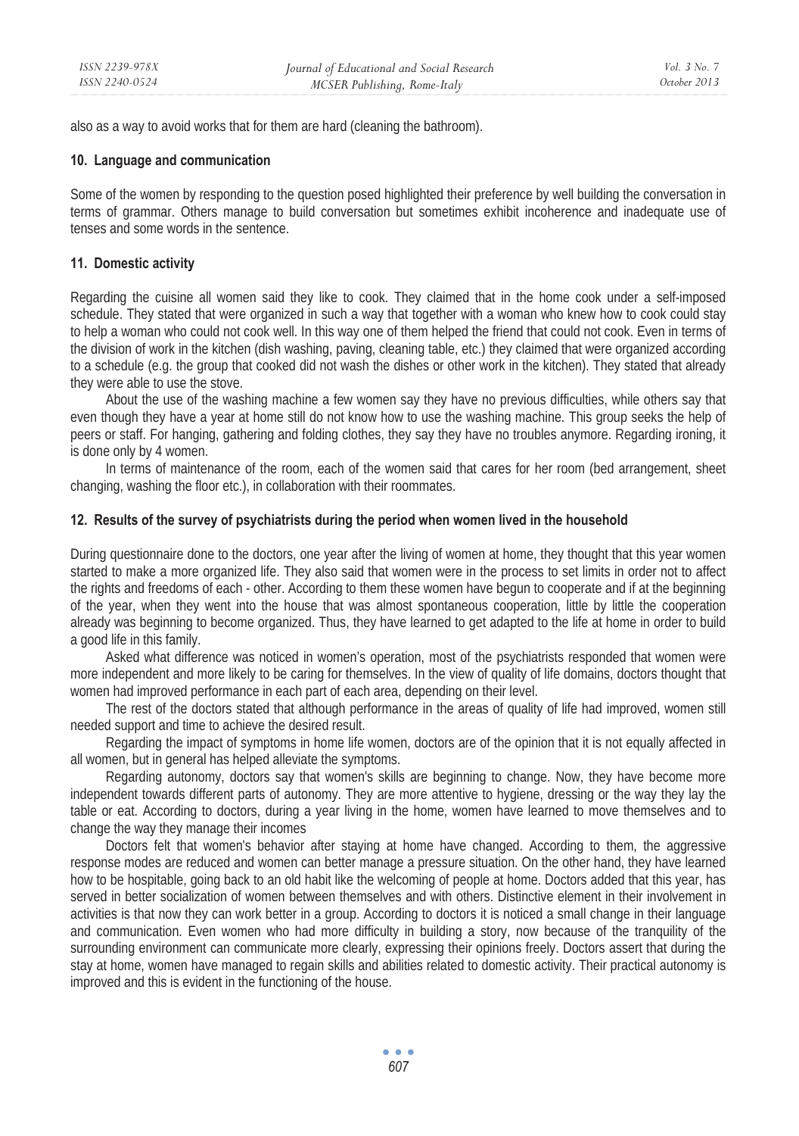also as a way to avoid works that for them are hard (cleaning the bathroom).

#### **10. Language and communication**

Some of the women by responding to the question posed highlighted their preference by well building the conversation in terms of grammar. Others manage to build conversation but sometimes exhibit incoherence and inadequate use of tenses and some words in the sentence.

#### **11. Domestic activity**

Regarding the cuisine all women said they like to cook. They claimed that in the home cook under a self-imposed schedule. They stated that were organized in such a way that together with a woman who knew how to cook could stay to help a woman who could not cook well. In this way one of them helped the friend that could not cook. Even in terms of the division of work in the kitchen (dish washing, paving, cleaning table, etc.) they claimed that were organized according to a schedule (e.g. the group that cooked did not wash the dishes or other work in the kitchen). They stated that already they were able to use the stove.

About the use of the washing machine a few women say they have no previous difficulties, while others say that even though they have a year at home still do not know how to use the washing machine. This group seeks the help of peers or staff. For hanging, gathering and folding clothes, they say they have no troubles anymore. Regarding ironing, it is done only by 4 women.

In terms of maintenance of the room, each of the women said that cares for her room (bed arrangement, sheet changing, washing the floor etc.), in collaboration with their roommates.

#### **12. Results of the survey of psychiatrists during the period when women lived in the household**

During questionnaire done to the doctors, one year after the living of women at home, they thought that this year women started to make a more organized life. They also said that women were in the process to set limits in order not to affect the rights and freedoms of each - other. According to them these women have begun to cooperate and if at the beginning of the year, when they went into the house that was almost spontaneous cooperation, little by little the cooperation already was beginning to become organized. Thus, they have learned to get adapted to the life at home in order to build a good life in this family.

Asked what difference was noticed in women's operation, most of the psychiatrists responded that women were more independent and more likely to be caring for themselves. In the view of quality of life domains, doctors thought that women had improved performance in each part of each area, depending on their level.

The rest of the doctors stated that although performance in the areas of quality of life had improved, women still needed support and time to achieve the desired result.

Regarding the impact of symptoms in home life women, doctors are of the opinion that it is not equally affected in all women, but in general has helped alleviate the symptoms.

Regarding autonomy, doctors say that women's skills are beginning to change. Now, they have become more independent towards different parts of autonomy. They are more attentive to hygiene, dressing or the way they lay the table or eat. According to doctors, during a year living in the home, women have learned to move themselves and to change the way they manage their incomes

Doctors felt that women's behavior after staying at home have changed. According to them, the aggressive response modes are reduced and women can better manage a pressure situation. On the other hand, they have learned how to be hospitable, going back to an old habit like the welcoming of people at home. Doctors added that this year, has served in better socialization of women between themselves and with others. Distinctive element in their involvement in activities is that now they can work better in a group. According to doctors it is noticed a small change in their language and communication. Even women who had more difficulty in building a story, now because of the tranquility of the surrounding environment can communicate more clearly, expressing their opinions freely. Doctors assert that during the stay at home, women have managed to regain skills and abilities related to domestic activity. Their practical autonomy is improved and this is evident in the functioning of the house.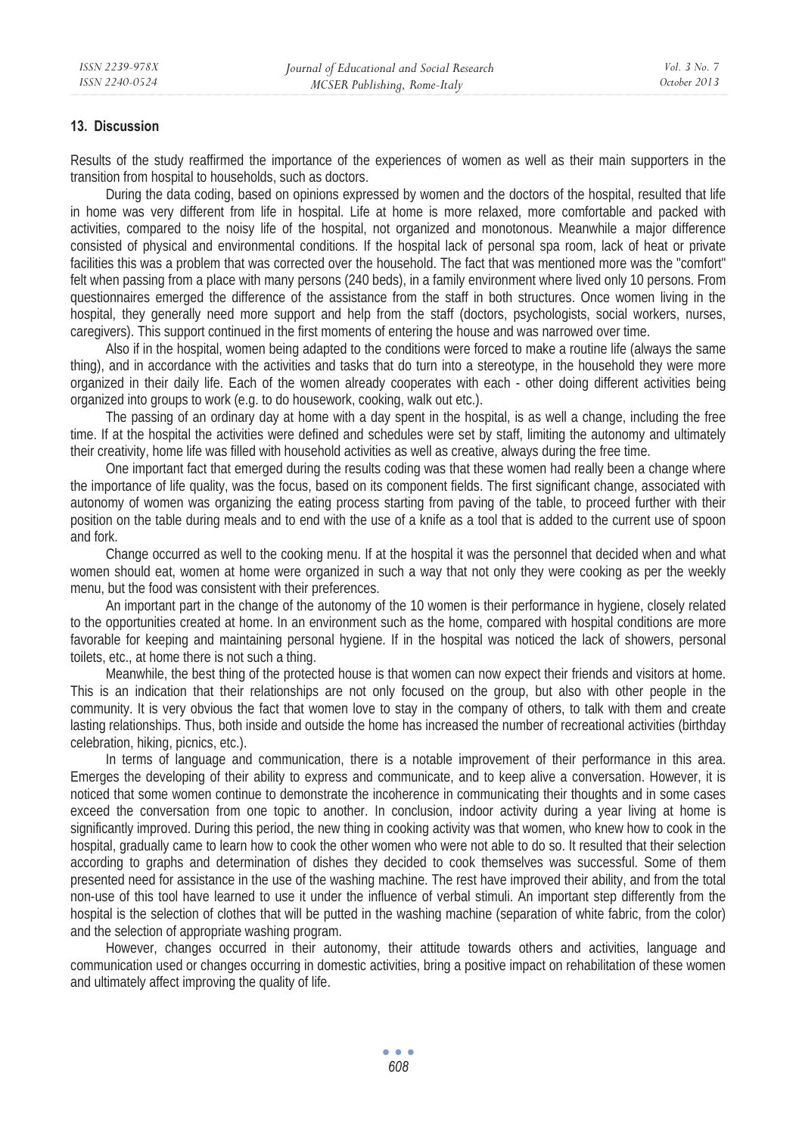#### **13. Discussion**

Results of the study reaffirmed the importance of the experiences of women as well as their main supporters in the transition from hospital to households, such as doctors.

During the data coding, based on opinions expressed by women and the doctors of the hospital, resulted that life in home was very different from life in hospital. Life at home is more relaxed, more comfortable and packed with activities, compared to the noisy life of the hospital, not organized and monotonous. Meanwhile a major difference consisted of physical and environmental conditions. If the hospital lack of personal spa room, lack of heat or private facilities this was a problem that was corrected over the household. The fact that was mentioned more was the "comfort" felt when passing from a place with many persons (240 beds), in a family environment where lived only 10 persons. From questionnaires emerged the difference of the assistance from the staff in both structures. Once women living in the hospital, they generally need more support and help from the staff (doctors, psychologists, social workers, nurses, caregivers). This support continued in the first moments of entering the house and was narrowed over time.

Also if in the hospital, women being adapted to the conditions were forced to make a routine life (always the same thing), and in accordance with the activities and tasks that do turn into a stereotype, in the household they were more organized in their daily life. Each of the women already cooperates with each - other doing different activities being organized into groups to work (e.g. to do housework, cooking, walk out etc.).

The passing of an ordinary day at home with a day spent in the hospital, is as well a change, including the free time. If at the hospital the activities were defined and schedules were set by staff, limiting the autonomy and ultimately their creativity, home life was filled with household activities as well as creative, always during the free time.

One important fact that emerged during the results coding was that these women had really been a change where the importance of life quality, was the focus, based on its component fields. The first significant change, associated with autonomy of women was organizing the eating process starting from paving of the table, to proceed further with their position on the table during meals and to end with the use of a knife as a tool that is added to the current use of spoon and fork.

Change occurred as well to the cooking menu. If at the hospital it was the personnel that decided when and what women should eat, women at home were organized in such a way that not only they were cooking as per the weekly menu, but the food was consistent with their preferences.

An important part in the change of the autonomy of the 10 women is their performance in hygiene, closely related to the opportunities created at home. In an environment such as the home, compared with hospital conditions are more favorable for keeping and maintaining personal hygiene. If in the hospital was noticed the lack of showers, personal toilets, etc., at home there is not such a thing.

Meanwhile, the best thing of the protected house is that women can now expect their friends and visitors at home. This is an indication that their relationships are not only focused on the group, but also with other people in the community. It is very obvious the fact that women love to stay in the company of others, to talk with them and create lasting relationships. Thus, both inside and outside the home has increased the number of recreational activities (birthday celebration, hiking, picnics, etc.).

In terms of language and communication, there is a notable improvement of their performance in this area. Emerges the developing of their ability to express and communicate, and to keep alive a conversation. However, it is noticed that some women continue to demonstrate the incoherence in communicating their thoughts and in some cases exceed the conversation from one topic to another. In conclusion, indoor activity during a year living at home is significantly improved. During this period, the new thing in cooking activity was that women, who knew how to cook in the hospital, gradually came to learn how to cook the other women who were not able to do so. It resulted that their selection according to graphs and determination of dishes they decided to cook themselves was successful. Some of them presented need for assistance in the use of the washing machine. The rest have improved their ability, and from the total non-use of this tool have learned to use it under the influence of verbal stimuli. An important step differently from the hospital is the selection of clothes that will be putted in the washing machine (separation of white fabric, from the color) and the selection of appropriate washing program.

However, changes occurred in their autonomy, their attitude towards others and activities, language and communication used or changes occurring in domestic activities, bring a positive impact on rehabilitation of these women and ultimately affect improving the quality of life.